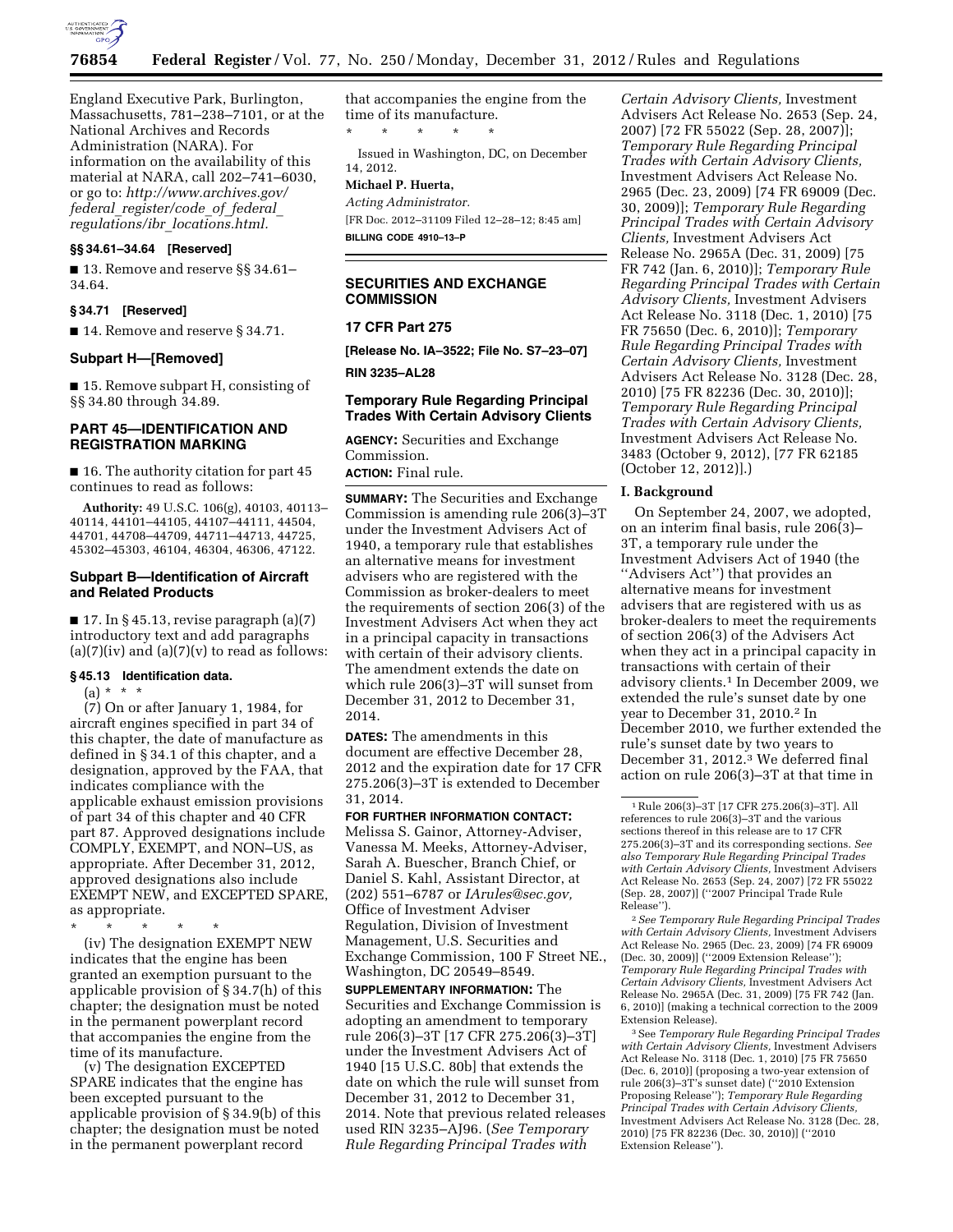

England Executive Park, Burlington, Massachusetts, 781–238–7101, or at the National Archives and Records Administration (NARA). For information on the availability of this material at NARA, call 202–741–6030, or go to: *[http://www.archives.gov/](http://www.archives.gov/federal_register/code_of_federal_regulations/ibr_locations.html) federal*\_*[register/code](http://www.archives.gov/federal_register/code_of_federal_regulations/ibr_locations.html)*\_*of*\_*federal*\_ *regulations/ibr*\_*[locations.html.](http://www.archives.gov/federal_register/code_of_federal_regulations/ibr_locations.html)* 

# **§§ 34.61–34.64 [Reserved]**

■ 13. Remove and reserve §§ 34.61– 34.64.

### **§ 34.71 [Reserved]**

■ 14. Remove and reserve § 34.71.

### **Subpart H—[Removed]**

■ 15. Remove subpart H, consisting of §§ 34.80 through 34.89.

# **PART 45—IDENTIFICATION AND REGISTRATION MARKING**

■ 16. The authority citation for part 45 continues to read as follows:

**Authority:** 49 U.S.C. 106(g), 40103, 40113– 40114, 44101–44105, 44107–44111, 44504, 44701, 44708–44709, 44711–44713, 44725, 45302–45303, 46104, 46304, 46306, 47122.

#### **Subpart B—Identification of Aircraft and Related Products**

 $\blacksquare$  17. In § 45.13, revise paragraph (a)(7) introductory text and add paragraphs  $(a)(7)(iv)$  and  $(a)(7)(v)$  to read as follows:

#### **§ 45.13 Identification data.**

 $(a) * * * *$ 

(7) On or after January 1, 1984, for aircraft engines specified in part 34 of this chapter, the date of manufacture as defined in § 34.1 of this chapter, and a designation, approved by the FAA, that indicates compliance with the applicable exhaust emission provisions of part 34 of this chapter and 40 CFR part 87. Approved designations include COMPLY, EXEMPT, and NON–US, as appropriate. After December 31, 2012, approved designations also include EXEMPT NEW, and EXCEPTED SPARE, as appropriate.

\* \* \* \* \*

(iv) The designation EXEMPT NEW indicates that the engine has been granted an exemption pursuant to the applicable provision of § 34.7(h) of this chapter; the designation must be noted in the permanent powerplant record that accompanies the engine from the time of its manufacture.

(v) The designation EXCEPTED SPARE indicates that the engine has been excepted pursuant to the applicable provision of § 34.9(b) of this chapter; the designation must be noted in the permanent powerplant record

that accompanies the engine from the time of its manufacture. \* \* \* \* \*

Issued in Washington, DC, on December 14, 2012.

## **Michael P. Huerta,**

*Acting Administrator.*  [FR Doc. 2012–31109 Filed 12–28–12; 8:45 am] **BILLING CODE 4910–13–P** 

# **SECURITIES AND EXCHANGE COMMISSION**

## **17 CFR Part 275**

**[Release No. IA–3522; File No. S7–23–07]** 

**RIN 3235–AL28** 

# **Temporary Rule Regarding Principal Trades With Certain Advisory Clients**

**AGENCY:** Securities and Exchange Commission.

**ACTION:** Final rule.

**SUMMARY:** The Securities and Exchange Commission is amending rule 206(3)–3T under the Investment Advisers Act of 1940, a temporary rule that establishes an alternative means for investment advisers who are registered with the Commission as broker-dealers to meet the requirements of section 206(3) of the Investment Advisers Act when they act in a principal capacity in transactions with certain of their advisory clients. The amendment extends the date on which rule 206(3)–3T will sunset from December 31, 2012 to December 31, 2014.

**DATES:** The amendments in this document are effective December 28, 2012 and the expiration date for 17 CFR 275.206(3)–3T is extended to December 31, 2014.

**FOR FURTHER INFORMATION CONTACT:**  Melissa S. Gainor, Attorney-Adviser, Vanessa M. Meeks, Attorney-Adviser, Sarah A. Buescher, Branch Chief, or Daniel S. Kahl, Assistant Director, at (202) 551–6787 or *[IArules@sec.gov,](mailto:IArules@sec.gov)*  Office of Investment Adviser Regulation, Division of Investment Management, U.S. Securities and Exchange Commission, 100 F Street NE., Washington, DC 20549–8549.

**SUPPLEMENTARY INFORMATION:** The Securities and Exchange Commission is adopting an amendment to temporary rule 206(3)–3T [17 CFR 275.206(3)–3T] under the Investment Advisers Act of 1940 [15 U.S.C. 80b] that extends the date on which the rule will sunset from December 31, 2012 to December 31, 2014. Note that previous related releases used RIN 3235–AJ96. (*See Temporary Rule Regarding Principal Trades with* 

*Certain Advisory Clients,* Investment Advisers Act Release No. 2653 (Sep. 24, 2007) [72 FR 55022 (Sep. 28, 2007)]; *Temporary Rule Regarding Principal Trades with Certain Advisory Clients,*  Investment Advisers Act Release No. 2965 (Dec. 23, 2009) [74 FR 69009 (Dec. 30, 2009)]; *Temporary Rule Regarding Principal Trades with Certain Advisory Clients,* Investment Advisers Act Release No. 2965A (Dec. 31, 2009) [75 FR 742 (Jan. 6, 2010)]; *Temporary Rule Regarding Principal Trades with Certain Advisory Clients,* Investment Advisers Act Release No. 3118 (Dec. 1, 2010) [75 FR 75650 (Dec. 6, 2010)]; *Temporary Rule Regarding Principal Trades with Certain Advisory Clients,* Investment Advisers Act Release No. 3128 (Dec. 28, 2010) [75 FR 82236 (Dec. 30, 2010)]; *Temporary Rule Regarding Principal Trades with Certain Advisory Clients,*  Investment Advisers Act Release No. 3483 (October 9, 2012), [77 FR 62185 (October 12, 2012)].)

#### **I. Background**

On September 24, 2007, we adopted, on an interim final basis, rule 206(3)– 3T, a temporary rule under the Investment Advisers Act of 1940 (the ''Advisers Act'') that provides an alternative means for investment advisers that are registered with us as broker-dealers to meet the requirements of section 206(3) of the Advisers Act when they act in a principal capacity in transactions with certain of their advisory clients.1 In December 2009, we extended the rule's sunset date by one year to December 31, 2010.2 In December 2010, we further extended the rule's sunset date by two years to December 31, 2012.<sup>3</sup> We deferred final action on rule 206(3)–3T at that time in

2*See Temporary Rule Regarding Principal Trades with Certain Advisory Clients,* Investment Advisers Act Release No. 2965 (Dec. 23, 2009) [74 FR 69009 (Dec. 30, 2009)] (''2009 Extension Release''); *Temporary Rule Regarding Principal Trades with Certain Advisory Clients,* Investment Advisers Act Release No. 2965A (Dec. 31, 2009) [75 FR 742 (Jan. 6, 2010)] (making a technical correction to the 2009 Extension Release).

3See *Temporary Rule Regarding Principal Trades with Certain Advisory Clients,* Investment Advisers Act Release No. 3118 (Dec. 1, 2010) [75 FR 75650 (Dec. 6, 2010)] (proposing a two-year extension of rule 206(3)–3T's sunset date) (''2010 Extension Proposing Release''); *Temporary Rule Regarding Principal Trades with Certain Advisory Clients,*  Investment Advisers Act Release No. 3128 (Dec. 28, 2010) [75 FR 82236 (Dec. 30, 2010)] (''2010 Extension Release'').

<sup>1</sup>Rule 206(3)–3T [17 CFR 275.206(3)–3T]. All references to rule 206(3)–3T and the various sections thereof in this release are to 17 CFR 275.206(3)–3T and its corresponding sections. *See also Temporary Rule Regarding Principal Trades with Certain Advisory Clients,* Investment Advisers Act Release No. 2653 (Sep. 24, 2007) [72 FR 55022 (Sep. 28, 2007)] (''2007 Principal Trade Rule Release'').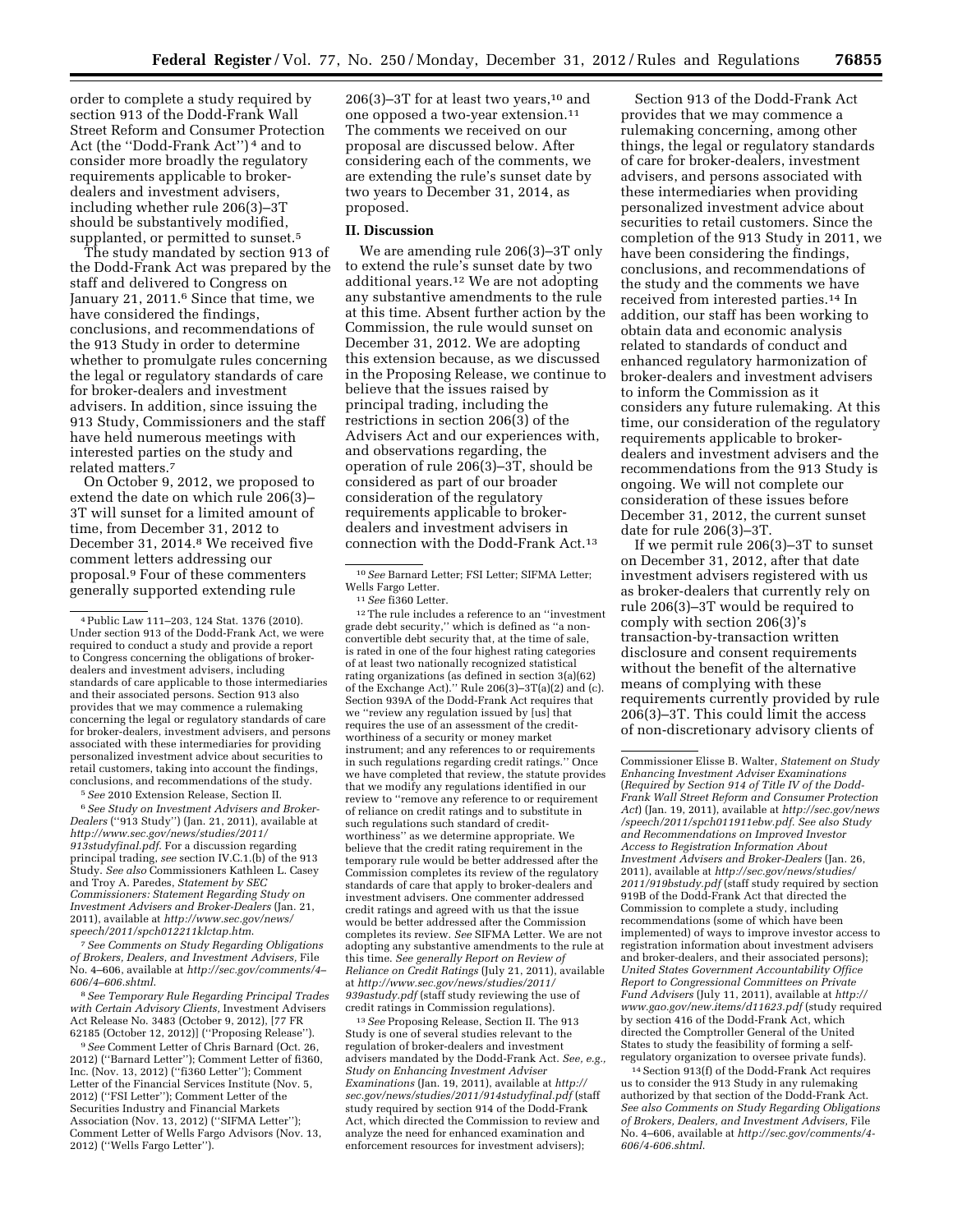order to complete a study required by section 913 of the Dodd-Frank Wall Street Reform and Consumer Protection Act (the ''Dodd-Frank Act'') 4 and to consider more broadly the regulatory requirements applicable to brokerdealers and investment advisers, including whether rule 206(3)–3T should be substantively modified, supplanted, or permitted to sunset.<sup>5</sup>

The study mandated by section 913 of the Dodd-Frank Act was prepared by the staff and delivered to Congress on January 21, 2011.<sup>6</sup> Since that time, we have considered the findings, conclusions, and recommendations of the 913 Study in order to determine whether to promulgate rules concerning the legal or regulatory standards of care for broker-dealers and investment advisers. In addition, since issuing the 913 Study, Commissioners and the staff have held numerous meetings with interested parties on the study and related matters.7

On October 9, 2012, we proposed to extend the date on which rule 206(3)– 3T will sunset for a limited amount of time, from December 31, 2012 to December 31, 2014.<sup>8</sup> We received five comment letters addressing our proposal.9 Four of these commenters generally supported extending rule

5*See* 2010 Extension Release, Section II. 6*See Study on Investment Advisers and Broker-Dealers* (''913 Study'') (Jan. 21, 2011), available at *[http://www.sec.gov/news/studies/2011/](http://www.sec.gov/news/studies/2011/913studyfinal.pdf) [913studyfinal.pdf](http://www.sec.gov/news/studies/2011/913studyfinal.pdf)*. For a discussion regarding principal trading, *see* section IV.C.1.(b) of the 913 Study. *See also* Commissioners Kathleen L. Casey and Troy A. Paredes, *Statement by SEC Commissioners: Statement Regarding Study on Investment Advisers and Broker-Dealers* (Jan. 21, 2011), available at *[http://www.sec.gov/news/](http://www.sec.gov/news/speech/2011/spch012211klctap.htm) [speech/2011/spch012211klctap.htm](http://www.sec.gov/news/speech/2011/spch012211klctap.htm)*.

7*See Comments on Study Regarding Obligations of Brokers, Dealers, and Investment Advisers,* File No. 4–606, available at *[http://sec.gov/comments/4–](http://sec.gov/comments/4-606/4-606.shtml)  [606/4–606.shtml](http://sec.gov/comments/4-606/4-606.shtml)*.

8*See Temporary Rule Regarding Principal Trades with Certain Advisory Clients,* Investment Advisers Act Release No. 3483 (October 9, 2012), [77 FR 62185 (October 12, 2012)] (''Proposing Release'').

9*See* Comment Letter of Chris Barnard (Oct. 26, 2012) (''Barnard Letter''); Comment Letter of fi360, Inc. (Nov. 13, 2012) (''fi360 Letter''); Comment Letter of the Financial Services Institute (Nov. 5, 2012) (''FSI Letter''); Comment Letter of the Securities Industry and Financial Markets Association (Nov. 13, 2012) (''SIFMA Letter''); Comment Letter of Wells Fargo Advisors (Nov. 13, 2012) (''Wells Fargo Letter'').

 $206(3)-3T$  for at least two years,<sup>10</sup> and one opposed a two-year extension.11 The comments we received on our proposal are discussed below. After considering each of the comments, we are extending the rule's sunset date by two years to December 31, 2014, as proposed.

#### **II. Discussion**

We are amending rule 206(3)–3T only to extend the rule's sunset date by two additional years.12 We are not adopting any substantive amendments to the rule at this time. Absent further action by the Commission, the rule would sunset on December 31, 2012. We are adopting this extension because, as we discussed in the Proposing Release, we continue to believe that the issues raised by principal trading, including the restrictions in section 206(3) of the Advisers Act and our experiences with, and observations regarding, the operation of rule 206(3)–3T, should be considered as part of our broader consideration of the regulatory requirements applicable to brokerdealers and investment advisers in connection with the Dodd-Frank Act.13

12The rule includes a reference to an ''investment grade debt security,'' which is defined as ''a nonconvertible debt security that, at the time of sale, is rated in one of the four highest rating categories of at least two nationally recognized statistical rating organizations (as defined in section 3(a)(62) of the Exchange Act).'' Rule 206(3)–3T(a)(2) and (c). Section 939A of the Dodd-Frank Act requires that we ''review any regulation issued by [us] that requires the use of an assessment of the creditworthiness of a security or money market instrument; and any references to or requirements in such regulations regarding credit ratings.'' Once we have completed that review, the statute provides that we modify any regulations identified in our review to ''remove any reference to or requirement of reliance on credit ratings and to substitute in such regulations such standard of creditworthiness'' as we determine appropriate. We believe that the credit rating requirement in the temporary rule would be better addressed after the Commission completes its review of the regulatory standards of care that apply to broker-dealers and investment advisers. One commenter addressed credit ratings and agreed with us that the issue would be better addressed after the Commission completes its review. *See* SIFMA Letter. We are not adopting any substantive amendments to the rule at this time. *See generally Report on Review of Reliance on Credit Ratings* (July 21, 2011), available at *[http://www.sec.gov/news/studies/2011/](http://www.sec.gov/news/studies/2011/939astudy.pdf)  [939astudy.pdf](http://www.sec.gov/news/studies/2011/939astudy.pdf)* (staff study reviewing the use of credit ratings in Commission regulations).

<sup>13</sup> See Proposing Release, Section II. The 913 Study is one of several studies relevant to the regulation of broker-dealers and investment advisers mandated by the Dodd-Frank Act. *See, e.g., Study on Enhancing Investment Adviser Examinations* (Jan. 19, 2011), available at *[http://](http://sec.gov/news/studies/2011/914studyfinal.pdf) [sec.gov/news/studies/2011/914studyfinal.pdf](http://sec.gov/news/studies/2011/914studyfinal.pdf)* (staff study required by section 914 of the Dodd-Frank Act, which directed the Commission to review and analyze the need for enhanced examination and enforcement resources for investment advisers);

Section 913 of the Dodd-Frank Act provides that we may commence a rulemaking concerning, among other things, the legal or regulatory standards of care for broker-dealers, investment advisers, and persons associated with these intermediaries when providing personalized investment advice about securities to retail customers. Since the completion of the 913 Study in 2011, we have been considering the findings, conclusions, and recommendations of the study and the comments we have received from interested parties.14 In addition, our staff has been working to obtain data and economic analysis related to standards of conduct and enhanced regulatory harmonization of broker-dealers and investment advisers to inform the Commission as it considers any future rulemaking. At this time, our consideration of the regulatory requirements applicable to brokerdealers and investment advisers and the recommendations from the 913 Study is ongoing. We will not complete our consideration of these issues before December 31, 2012, the current sunset date for rule 206(3)–3T.

If we permit rule 206(3)–3T to sunset on December 31, 2012, after that date investment advisers registered with us as broker-dealers that currently rely on rule 206(3)–3T would be required to comply with section 206(3)'s transaction-by-transaction written disclosure and consent requirements without the benefit of the alternative means of complying with these requirements currently provided by rule 206(3)–3T. This could limit the access of non-discretionary advisory clients of

14Section 913(f) of the Dodd-Frank Act requires us to consider the 913 Study in any rulemaking authorized by that section of the Dodd-Frank Act. *See also Comments on Study Regarding Obligations of Brokers, Dealers, and Investment Advisers,* File No. 4–606, available at *[http://sec.gov/comments/4-](http://sec.gov/comments/4-606/4-606.shtml) [606/4-606.shtml](http://sec.gov/comments/4-606/4-606.shtml)*.

<sup>4</sup>Public Law 111–203, 124 Stat. 1376 (2010). Under section 913 of the Dodd-Frank Act, we were required to conduct a study and provide a report to Congress concerning the obligations of brokerdealers and investment advisers, including standards of care applicable to those intermediaries and their associated persons. Section 913 also provides that we may commence a rulemaking concerning the legal or regulatory standards of care for broker-dealers, investment advisers, and persons associated with these intermediaries for providing personalized investment advice about securities to retail customers, taking into account the findings, conclusions, and recommendations of the study.

<sup>10</sup>*See* Barnard Letter; FSI Letter; SIFMA Letter; Wells Fargo Letter.

<sup>11</sup>*See* fi360 Letter.

Commissioner Elisse B. Walter, *Statement on Study Enhancing Investment Adviser Examinations*  (*Required by Section 914 of Title IV of the Dodd-Frank Wall Street Reform and Consumer Protection Act*) (Jan. 19, 2011), available at *[http://sec.gov/news](http://sec.gov/news/speech/2011/spch011911ebw.pdf) [/speech/2011/spch011911ebw.pdf.](http://sec.gov/news/speech/2011/spch011911ebw.pdf) See also Study and Recommendations on Improved Investor Access to Registration Information About Investment Advisers and Broker-Dealers* (Jan. 26, 2011), available at *[http://sec.gov/news/studies/](http://sec.gov/news/studies/2011/919bstudy.pdf) [2011/919bstudy.pdf](http://sec.gov/news/studies/2011/919bstudy.pdf)* (staff study required by section 919B of the Dodd-Frank Act that directed the Commission to complete a study, including recommendations (some of which have been implemented) of ways to improve investor access to registration information about investment advisers and broker-dealers, and their associated persons); *United States Government Accountability Office Report to Congressional Committees on Private Fund Advisers* (July 11, 2011), available at *[http://](http://www.gao.gov/new.items/d11623.pdf) [www.gao.gov/new.items/d11623.pdf](http://www.gao.gov/new.items/d11623.pdf)* (study required by section 416 of the Dodd-Frank Act, which directed the Comptroller General of the United States to study the feasibility of forming a selfregulatory organization to oversee private funds).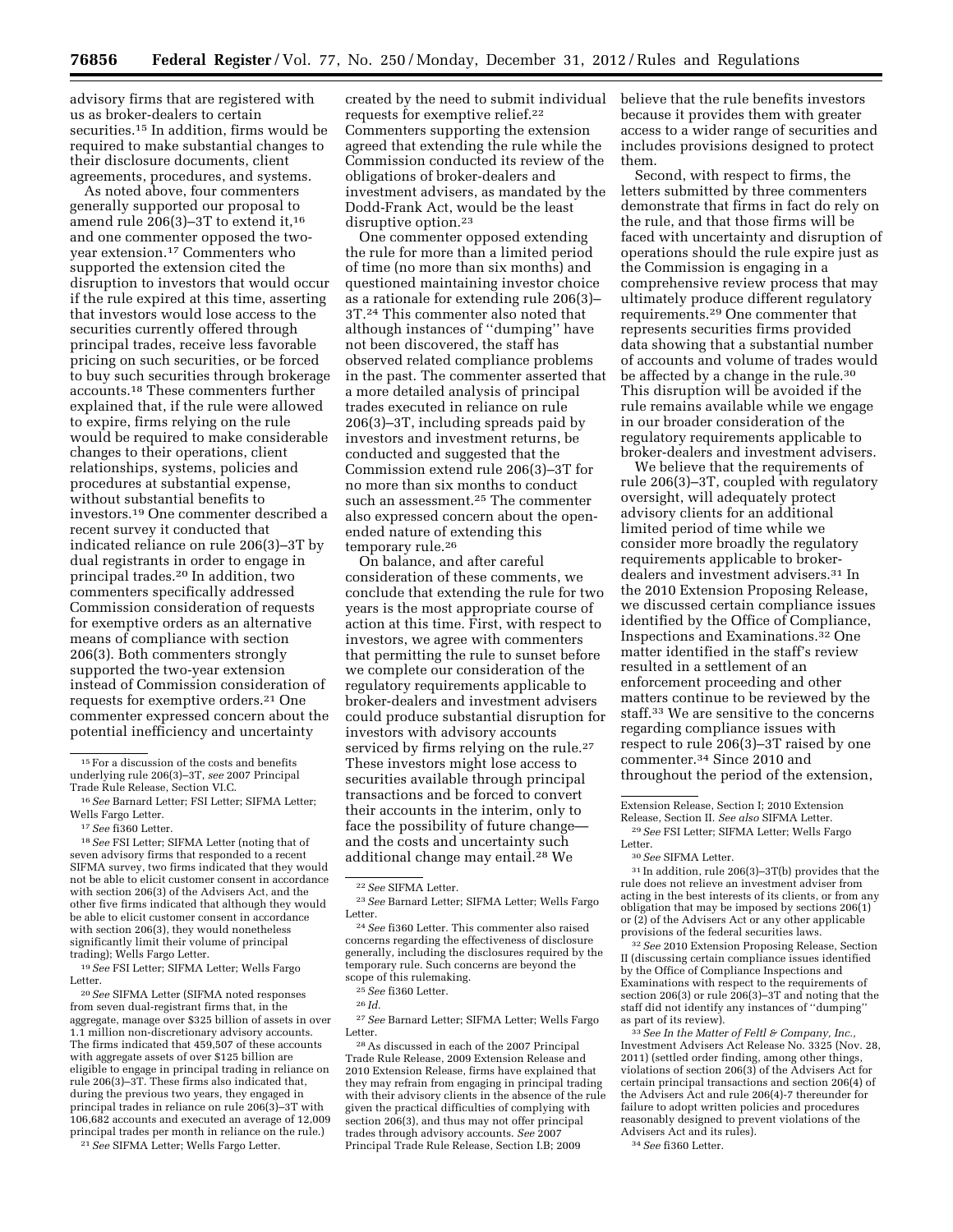advisory firms that are registered with us as broker-dealers to certain securities.15 In addition, firms would be required to make substantial changes to their disclosure documents, client agreements, procedures, and systems.

As noted above, four commenters generally supported our proposal to amend rule 206(3)–3T to extend it,16 and one commenter opposed the twoyear extension.17 Commenters who supported the extension cited the disruption to investors that would occur if the rule expired at this time, asserting that investors would lose access to the securities currently offered through principal trades, receive less favorable pricing on such securities, or be forced to buy such securities through brokerage accounts.18 These commenters further explained that, if the rule were allowed to expire, firms relying on the rule would be required to make considerable changes to their operations, client relationships, systems, policies and procedures at substantial expense, without substantial benefits to investors.19 One commenter described a recent survey it conducted that indicated reliance on rule 206(3)–3T by dual registrants in order to engage in principal trades.20 In addition, two commenters specifically addressed Commission consideration of requests for exemptive orders as an alternative means of compliance with section 206(3). Both commenters strongly supported the two-year extension instead of Commission consideration of requests for exemptive orders.21 One commenter expressed concern about the potential inefficiency and uncertainty

18*See* FSI Letter; SIFMA Letter (noting that of seven advisory firms that responded to a recent SIFMA survey, two firms indicated that they would not be able to elicit customer consent in accordance with section 206(3) of the Advisers Act, and the other five firms indicated that although they would be able to elicit customer consent in accordance with section 206(3), they would nonetheless significantly limit their volume of principal trading); Wells Fargo Letter.

19*See* FSI Letter; SIFMA Letter; Wells Fargo Letter.

20*See* SIFMA Letter (SIFMA noted responses from seven dual-registrant firms that, in the aggregate, manage over \$325 billion of assets in over 1.1 million non-discretionary advisory accounts. The firms indicated that 459,507 of these accounts with aggregate assets of over \$125 billion are eligible to engage in principal trading in reliance on rule 206(3)–3T. These firms also indicated that, during the previous two years, they engaged in principal trades in reliance on rule 206(3)–3T with 106,682 accounts and executed an average of 12,009 principal trades per month in reliance on the rule.)

21*See* SIFMA Letter; Wells Fargo Letter.

created by the need to submit individual requests for exemptive relief.22 Commenters supporting the extension agreed that extending the rule while the Commission conducted its review of the obligations of broker-dealers and investment advisers, as mandated by the Dodd-Frank Act, would be the least disruptive option.23

One commenter opposed extending the rule for more than a limited period of time (no more than six months) and questioned maintaining investor choice as a rationale for extending rule 206(3)– 3T.24 This commenter also noted that although instances of ''dumping'' have not been discovered, the staff has observed related compliance problems in the past. The commenter asserted that a more detailed analysis of principal trades executed in reliance on rule 206(3)–3T, including spreads paid by investors and investment returns, be conducted and suggested that the Commission extend rule 206(3)–3T for no more than six months to conduct such an assessment.25 The commenter also expressed concern about the openended nature of extending this temporary rule.26

On balance, and after careful consideration of these comments, we conclude that extending the rule for two years is the most appropriate course of action at this time. First, with respect to investors, we agree with commenters that permitting the rule to sunset before we complete our consideration of the regulatory requirements applicable to broker-dealers and investment advisers could produce substantial disruption for investors with advisory accounts serviced by firms relying on the rule.<sup>27</sup> These investors might lose access to securities available through principal transactions and be forced to convert their accounts in the interim, only to face the possibility of future changeand the costs and uncertainty such additional change may entail.28 We

27*See* Barnard Letter; SIFMA Letter; Wells Fargo Letter.

28As discussed in each of the 2007 Principal Trade Rule Release, 2009 Extension Release and 2010 Extension Release, firms have explained that they may refrain from engaging in principal trading with their advisory clients in the absence of the rule given the practical difficulties of complying with section 206(3), and thus may not offer principal trades through advisory accounts. *See* 2007 Principal Trade Rule Release, Section I.B; 2009

believe that the rule benefits investors because it provides them with greater access to a wider range of securities and includes provisions designed to protect them.

Second, with respect to firms, the letters submitted by three commenters demonstrate that firms in fact do rely on the rule, and that those firms will be faced with uncertainty and disruption of operations should the rule expire just as the Commission is engaging in a comprehensive review process that may ultimately produce different regulatory requirements.29 One commenter that represents securities firms provided data showing that a substantial number of accounts and volume of trades would be affected by a change in the rule.30 This disruption will be avoided if the rule remains available while we engage in our broader consideration of the regulatory requirements applicable to broker-dealers and investment advisers.

We believe that the requirements of rule 206(3)–3T, coupled with regulatory oversight, will adequately protect advisory clients for an additional limited period of time while we consider more broadly the regulatory requirements applicable to brokerdealers and investment advisers.31 In the 2010 Extension Proposing Release, we discussed certain compliance issues identified by the Office of Compliance, Inspections and Examinations.32 One matter identified in the staff's review resulted in a settlement of an enforcement proceeding and other matters continue to be reviewed by the staff.33 We are sensitive to the concerns regarding compliance issues with respect to rule 206(3)–3T raised by one commenter.34 Since 2010 and throughout the period of the extension,

<sup>30</sup> See SIFMA Letter.<br><sup>31</sup> In addition, rule 206(3)–3T(b) provides that the rule does not relieve an investment adviser from acting in the best interests of its clients, or from any obligation that may be imposed by sections 206(1) or (2) of the Advisers Act or any other applicable provisions of the federal securities laws.

32*See* 2010 Extension Proposing Release, Section II (discussing certain compliance issues identified by the Office of Compliance Inspections and Examinations with respect to the requirements of section 206(3) or rule 206(3)–3T and noting that the staff did not identify any instances of ''dumping'' as part of its review).

33*See In the Matter of Feltl & Company, Inc.,*  Investment Advisers Act Release No. 3325 (Nov. 28, 2011) (settled order finding, among other things, violations of section 206(3) of the Advisers Act for certain principal transactions and section 206(4) of the Advisers Act and rule 206(4)-7 thereunder for failure to adopt written policies and procedures reasonably designed to prevent violations of the Advisers Act and its rules).

34*See* fi360 Letter.

 $^{\rm 15}\, \rm{For}$  a discussion of the costs and benefits underlying rule 206(3)–3T, *see* 2007 Principal Trade Rule Release, Section VI.C.

<sup>16</sup>*See* Barnard Letter; FSI Letter; SIFMA Letter; Wells Fargo Letter.

<sup>17</sup>*See* fi360 Letter.

<sup>22</sup>*See* SIFMA Letter.

<sup>23</sup>*See* Barnard Letter; SIFMA Letter; Wells Fargo Letter.

<sup>24</sup>*See* fi360 Letter. This commenter also raised concerns regarding the effectiveness of disclosure generally, including the disclosures required by the temporary rule. Such concerns are beyond the scope of this rulemaking. 25*See* fi360 Letter.

<sup>26</sup> *Id.* 

Extension Release, Section I; 2010 Extension<br>Release, Section II, See also SIFMA Letter.  $^{29}\,See$  FSI Letter; SIFMA Letter; Wells Fargo Letter.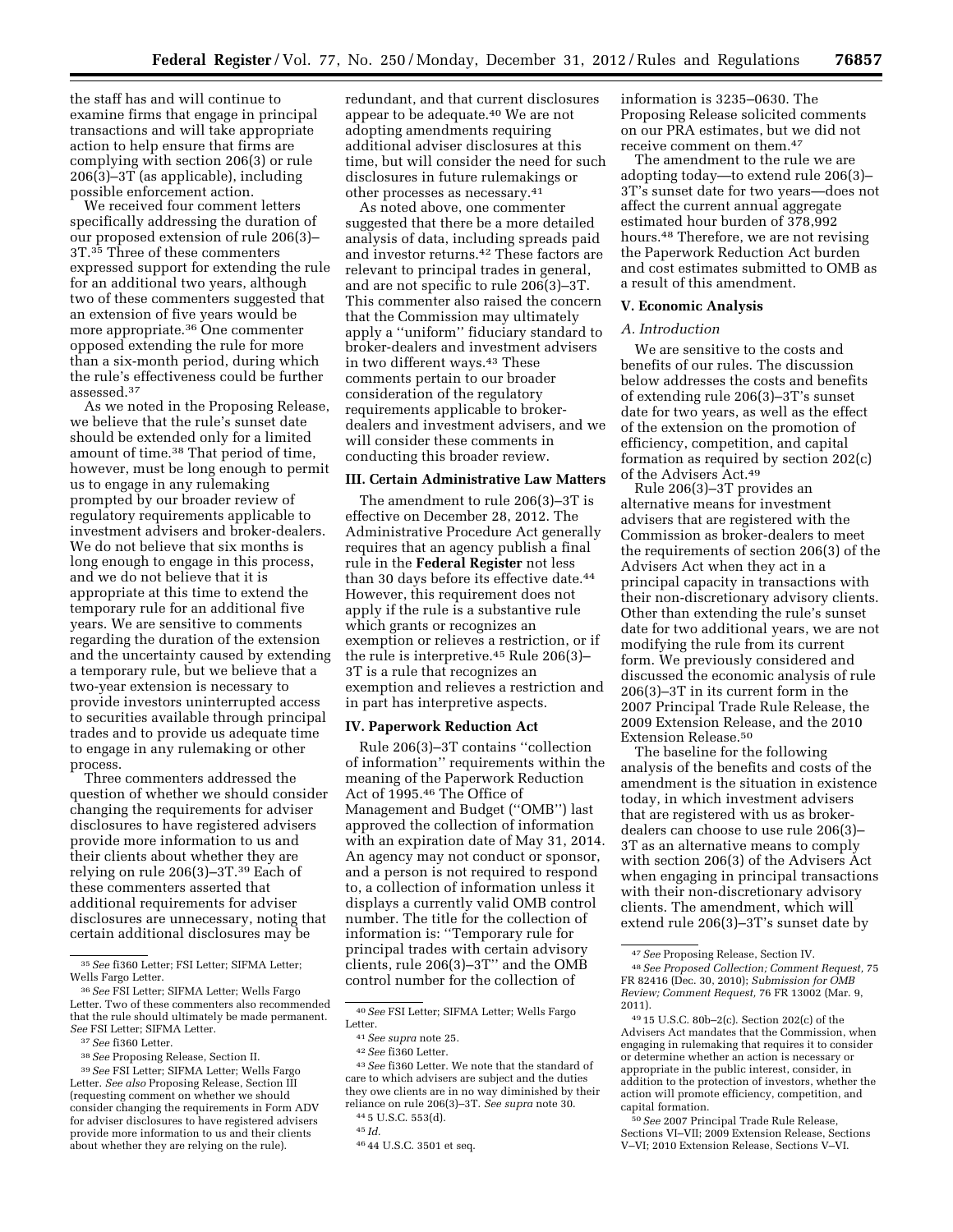the staff has and will continue to examine firms that engage in principal transactions and will take appropriate action to help ensure that firms are complying with section 206(3) or rule 206(3)–3T (as applicable), including possible enforcement action.

We received four comment letters specifically addressing the duration of our proposed extension of rule 206(3)– 3T.35 Three of these commenters expressed support for extending the rule for an additional two years, although two of these commenters suggested that an extension of five years would be more appropriate.36 One commenter opposed extending the rule for more than a six-month period, during which the rule's effectiveness could be further assessed.37

As we noted in the Proposing Release, we believe that the rule's sunset date should be extended only for a limited amount of time.<sup>38</sup> That period of time, however, must be long enough to permit us to engage in any rulemaking prompted by our broader review of regulatory requirements applicable to investment advisers and broker-dealers. We do not believe that six months is long enough to engage in this process, and we do not believe that it is appropriate at this time to extend the temporary rule for an additional five years. We are sensitive to comments regarding the duration of the extension and the uncertainty caused by extending a temporary rule, but we believe that a two-year extension is necessary to provide investors uninterrupted access to securities available through principal trades and to provide us adequate time to engage in any rulemaking or other process.

Three commenters addressed the question of whether we should consider changing the requirements for adviser disclosures to have registered advisers provide more information to us and their clients about whether they are relying on rule 206(3)–3T.39 Each of these commenters asserted that additional requirements for adviser disclosures are unnecessary, noting that certain additional disclosures may be

redundant, and that current disclosures appear to be adequate.40 We are not adopting amendments requiring additional adviser disclosures at this time, but will consider the need for such disclosures in future rulemakings or other processes as necessary.41

As noted above, one commenter suggested that there be a more detailed analysis of data, including spreads paid and investor returns.42 These factors are relevant to principal trades in general, and are not specific to rule 206(3)–3T. This commenter also raised the concern that the Commission may ultimately apply a ''uniform'' fiduciary standard to broker-dealers and investment advisers in two different ways.43 These comments pertain to our broader consideration of the regulatory requirements applicable to brokerdealers and investment advisers, and we will consider these comments in conducting this broader review.

#### **III. Certain Administrative Law Matters**

The amendment to rule 206(3)–3T is effective on December 28, 2012. The Administrative Procedure Act generally requires that an agency publish a final rule in the **Federal Register** not less than 30 days before its effective date.<sup>44</sup> However, this requirement does not apply if the rule is a substantive rule which grants or recognizes an exemption or relieves a restriction, or if the rule is interpretive.45 Rule 206(3)– 3T is a rule that recognizes an exemption and relieves a restriction and in part has interpretive aspects.

## **IV. Paperwork Reduction Act**

Rule 206(3)–3T contains ''collection of information'' requirements within the meaning of the Paperwork Reduction Act of 1995.46 The Office of Management and Budget (''OMB'') last approved the collection of information with an expiration date of May 31, 2014. An agency may not conduct or sponsor, and a person is not required to respond to, a collection of information unless it displays a currently valid OMB control number. The title for the collection of information is: ''Temporary rule for principal trades with certain advisory clients, rule 206(3)–3T'' and the OMB control number for the collection of

information is 3235–0630. The Proposing Release solicited comments on our PRA estimates, but we did not receive comment on them.47

The amendment to the rule we are adopting today—to extend rule 206(3)– 3T's sunset date for two years—does not affect the current annual aggregate estimated hour burden of 378,992 hours.48 Therefore, we are not revising the Paperwork Reduction Act burden and cost estimates submitted to OMB as a result of this amendment.

#### **V. Economic Analysis**

## *A. Introduction*

We are sensitive to the costs and benefits of our rules. The discussion below addresses the costs and benefits of extending rule 206(3)–3T's sunset date for two years, as well as the effect of the extension on the promotion of efficiency, competition, and capital formation as required by section 202(c) of the Advisers Act.49

Rule 206(3)–3T provides an alternative means for investment advisers that are registered with the Commission as broker-dealers to meet the requirements of section 206(3) of the Advisers Act when they act in a principal capacity in transactions with their non-discretionary advisory clients. Other than extending the rule's sunset date for two additional years, we are not modifying the rule from its current form. We previously considered and discussed the economic analysis of rule 206(3)–3T in its current form in the 2007 Principal Trade Rule Release, the 2009 Extension Release, and the 2010 Extension Release.50

The baseline for the following analysis of the benefits and costs of the amendment is the situation in existence today, in which investment advisers that are registered with us as brokerdealers can choose to use rule 206(3)– 3T as an alternative means to comply with section 206(3) of the Advisers Act when engaging in principal transactions with their non-discretionary advisory clients. The amendment, which will extend rule 206(3)–3T's sunset date by

50*See* 2007 Principal Trade Rule Release, Sections VI–VII; 2009 Extension Release, Sections V–VI; 2010 Extension Release, Sections V–VI.

<sup>35</sup>*See* fi360 Letter; FSI Letter; SIFMA Letter; Wells Fargo Letter.

<sup>36</sup>*See* FSI Letter; SIFMA Letter; Wells Fargo Letter. Two of these commenters also recommended that the rule should ultimately be made permanent. *See* FSI Letter; SIFMA Letter.

<sup>37</sup>*See* fi360 Letter.

<sup>38</sup>*See* Proposing Release, Section II.

<sup>39</sup>*See* FSI Letter; SIFMA Letter; Wells Fargo Letter. *See also* Proposing Release, Section III (requesting comment on whether we should consider changing the requirements in Form ADV for adviser disclosures to have registered advisers provide more information to us and their clients about whether they are relying on the rule).

<sup>40</sup>*See* FSI Letter; SIFMA Letter; Wells Fargo Letter.

<sup>41</sup>*See supra* note 25.

<sup>42</sup>*See* fi360 Letter.

<sup>43</sup>*See* fi360 Letter. We note that the standard of care to which advisers are subject and the duties they owe clients are in no way diminished by their reliance on rule 206(3)–3T. *See supra* note 30. 44 5 U.S.C. 553(d).

<sup>45</sup> *Id.* 

<sup>46</sup> 44 U.S.C. 3501 et seq.

<sup>47</sup>*See* Proposing Release, Section IV.

<sup>48</sup>*See Proposed Collection; Comment Request,* 75 FR 82416 (Dec. 30, 2010); *Submission for OMB Review; Comment Request,* 76 FR 13002 (Mar. 9, 2011).

<sup>49</sup> 15 U.S.C. 80b–2(c). Section 202(c) of the Advisers Act mandates that the Commission, when engaging in rulemaking that requires it to consider or determine whether an action is necessary or appropriate in the public interest, consider, in addition to the protection of investors, whether the action will promote efficiency, competition, and capital formation.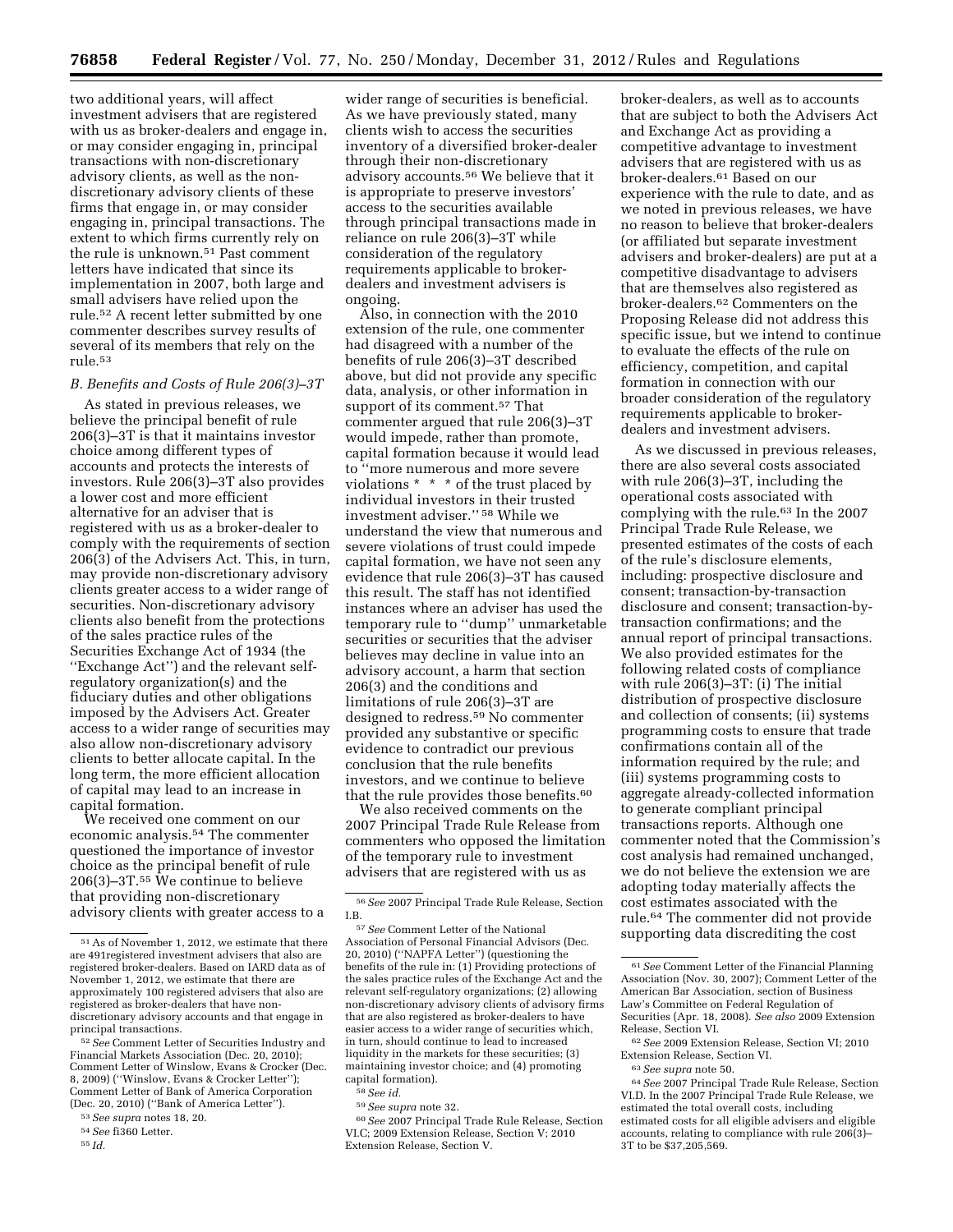two additional years, will affect investment advisers that are registered with us as broker-dealers and engage in, or may consider engaging in, principal transactions with non-discretionary advisory clients, as well as the nondiscretionary advisory clients of these firms that engage in, or may consider engaging in, principal transactions. The extent to which firms currently rely on the rule is unknown.51 Past comment letters have indicated that since its implementation in 2007, both large and small advisers have relied upon the rule.52 A recent letter submitted by one commenter describes survey results of several of its members that rely on the rule.53

#### *B. Benefits and Costs of Rule 206(3)–3T*

As stated in previous releases, we believe the principal benefit of rule 206(3)–3T is that it maintains investor choice among different types of accounts and protects the interests of investors. Rule 206(3)–3T also provides a lower cost and more efficient alternative for an adviser that is registered with us as a broker-dealer to comply with the requirements of section 206(3) of the Advisers Act. This, in turn, may provide non-discretionary advisory clients greater access to a wider range of securities. Non-discretionary advisory clients also benefit from the protections of the sales practice rules of the Securities Exchange Act of 1934 (the ''Exchange Act'') and the relevant selfregulatory organization(s) and the fiduciary duties and other obligations imposed by the Advisers Act. Greater access to a wider range of securities may also allow non-discretionary advisory clients to better allocate capital. In the long term, the more efficient allocation of capital may lead to an increase in capital formation.

We received one comment on our economic analysis.54 The commenter questioned the importance of investor choice as the principal benefit of rule 206(3)–3T. $55$  We continue to believe that providing non-discretionary advisory clients with greater access to a

wider range of securities is beneficial. As we have previously stated, many clients wish to access the securities inventory of a diversified broker-dealer through their non-discretionary advisory accounts.56 We believe that it is appropriate to preserve investors' access to the securities available through principal transactions made in reliance on rule 206(3)–3T while consideration of the regulatory requirements applicable to brokerdealers and investment advisers is ongoing.

Also, in connection with the 2010 extension of the rule, one commenter had disagreed with a number of the benefits of rule 206(3)–3T described above, but did not provide any specific data, analysis, or other information in support of its comment.<sup>57</sup> That commenter argued that rule 206(3)–3T would impede, rather than promote, capital formation because it would lead to ''more numerous and more severe violations \* \* \* of the trust placed by individual investors in their trusted investment adviser.'' 58 While we understand the view that numerous and severe violations of trust could impede capital formation, we have not seen any evidence that rule 206(3)–3T has caused this result. The staff has not identified instances where an adviser has used the temporary rule to ''dump'' unmarketable securities or securities that the adviser believes may decline in value into an advisory account, a harm that section 206(3) and the conditions and limitations of rule 206(3)–3T are designed to redress.59 No commenter provided any substantive or specific evidence to contradict our previous conclusion that the rule benefits investors, and we continue to believe that the rule provides those benefits.<sup>60</sup>

We also received comments on the 2007 Principal Trade Rule Release from commenters who opposed the limitation of the temporary rule to investment advisers that are registered with us as

Extension Release, Section V.

broker-dealers, as well as to accounts that are subject to both the Advisers Act and Exchange Act as providing a competitive advantage to investment advisers that are registered with us as broker-dealers.61 Based on our experience with the rule to date, and as we noted in previous releases, we have no reason to believe that broker-dealers (or affiliated but separate investment advisers and broker-dealers) are put at a competitive disadvantage to advisers that are themselves also registered as broker-dealers.62 Commenters on the Proposing Release did not address this specific issue, but we intend to continue to evaluate the effects of the rule on efficiency, competition, and capital formation in connection with our broader consideration of the regulatory requirements applicable to brokerdealers and investment advisers.

As we discussed in previous releases, there are also several costs associated with rule 206(3)–3T, including the operational costs associated with complying with the rule.63 In the 2007 Principal Trade Rule Release, we presented estimates of the costs of each of the rule's disclosure elements, including: prospective disclosure and consent; transaction-by-transaction disclosure and consent; transaction-bytransaction confirmations; and the annual report of principal transactions. We also provided estimates for the following related costs of compliance with rule 206(3)–3T: (i) The initial distribution of prospective disclosure and collection of consents; (ii) systems programming costs to ensure that trade confirmations contain all of the information required by the rule; and (iii) systems programming costs to aggregate already-collected information to generate compliant principal transactions reports. Although one commenter noted that the Commission's cost analysis had remained unchanged, we do not believe the extension we are adopting today materially affects the cost estimates associated with the rule.64 The commenter did not provide supporting data discrediting the cost

<sup>51</sup>As of November 1, 2012, we estimate that there are 491registered investment advisers that also are registered broker-dealers. Based on IARD data as of November 1, 2012, we estimate that there are approximately 100 registered advisers that also are registered as broker-dealers that have nondiscretionary advisory accounts and that engage in principal transactions.

<sup>52</sup>*See* Comment Letter of Securities Industry and Financial Markets Association (Dec. 20, 2010); Comment Letter of Winslow, Evans & Crocker (Dec. 8, 2009) (''Winslow, Evans & Crocker Letter''); Comment Letter of Bank of America Corporation (Dec. 20, 2010) (''Bank of America Letter'').

<sup>53</sup>*See supra* notes 18, 20.

<sup>54</sup>*See* fi360 Letter.

<sup>55</sup> *Id.* 

<sup>56</sup>*See* 2007 Principal Trade Rule Release, Section I.B.

<sup>57</sup>*See* Comment Letter of the National Association of Personal Financial Advisors (Dec. 20, 2010) (''NAPFA Letter'') (questioning the benefits of the rule in: (1) Providing protections of the sales practice rules of the Exchange Act and the relevant self-regulatory organizations; (2) allowing non-discretionary advisory clients of advisory firms that are also registered as broker-dealers to have easier access to a wider range of securities which, in turn, should continue to lead to increased liquidity in the markets for these securities; (3) maintaining investor choice; and (4) promoting capital formation). 58*See id.* 

<sup>59</sup>*See supra* note 32.

<sup>60</sup>*See* 2007 Principal Trade Rule Release, Section VI.C; 2009 Extension Release, Section V; 2010

<sup>61</sup>*See* Comment Letter of the Financial Planning Association (Nov. 30, 2007); Comment Letter of the American Bar Association, section of Business Law's Committee on Federal Regulation of Securities (Apr. 18, 2008). *See also* 2009 Extension Release, Section VI.

<sup>62</sup>*See* 2009 Extension Release, Section VI; 2010 Extension Release, Section VI.

<sup>63</sup>*See supra* note 50.

<sup>64</sup>*See* 2007 Principal Trade Rule Release, Section VI.D. In the 2007 Principal Trade Rule Release, we estimated the total overall costs, including estimated costs for all eligible advisers and eligible accounts, relating to compliance with rule 206(3)– 3T to be \$37,205,569.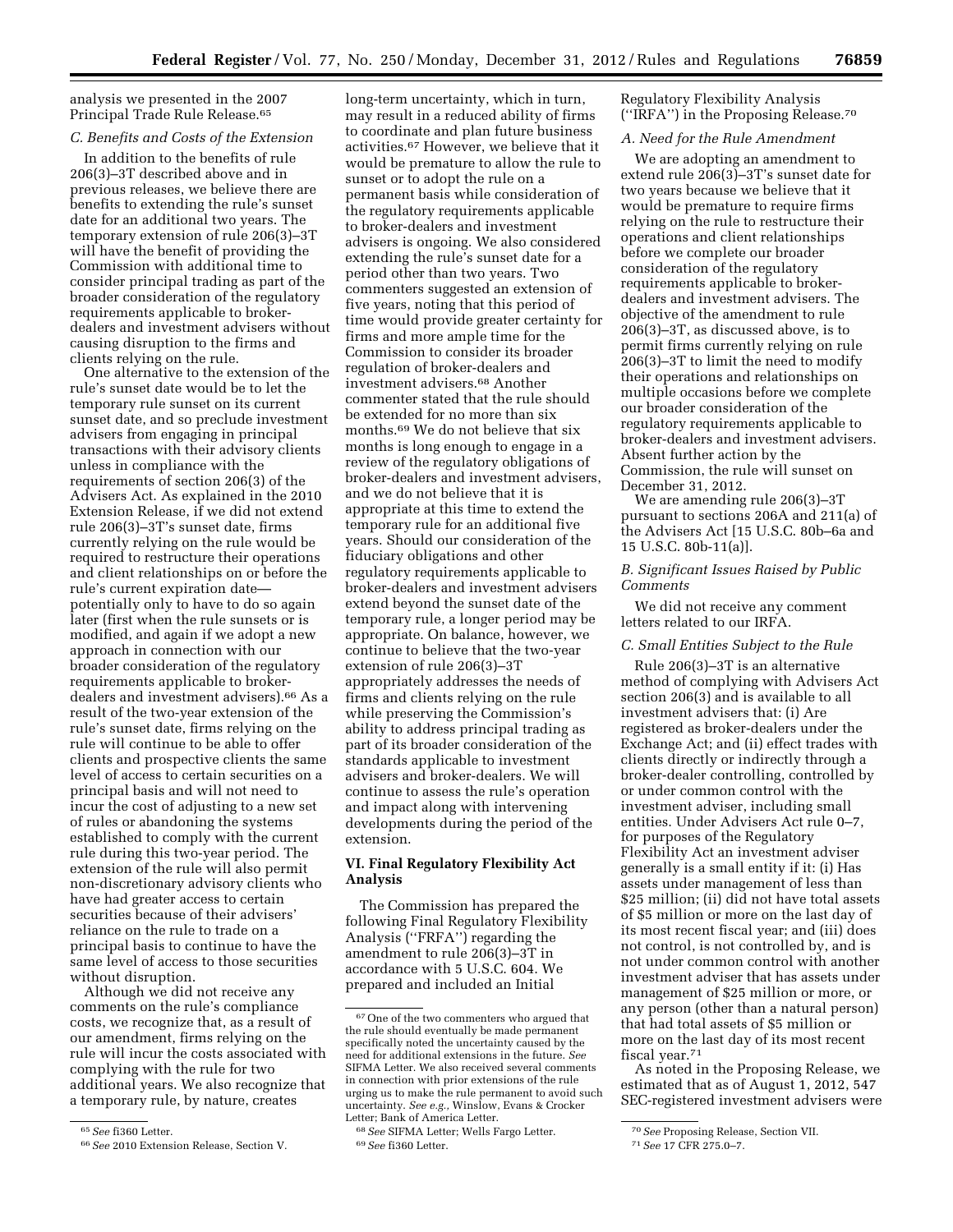analysis we presented in the 2007 Principal Trade Rule Release.<sup>65</sup>

## *C. Benefits and Costs of the Extension*

In addition to the benefits of rule 206(3)–3T described above and in previous releases, we believe there are benefits to extending the rule's sunset date for an additional two years. The temporary extension of rule 206(3)–3T will have the benefit of providing the Commission with additional time to consider principal trading as part of the broader consideration of the regulatory requirements applicable to brokerdealers and investment advisers without causing disruption to the firms and clients relying on the rule.

One alternative to the extension of the rule's sunset date would be to let the temporary rule sunset on its current sunset date, and so preclude investment advisers from engaging in principal transactions with their advisory clients unless in compliance with the requirements of section 206(3) of the Advisers Act. As explained in the 2010 Extension Release, if we did not extend rule 206(3)–3T's sunset date, firms currently relying on the rule would be required to restructure their operations and client relationships on or before the rule's current expiration date potentially only to have to do so again later (first when the rule sunsets or is modified, and again if we adopt a new approach in connection with our broader consideration of the regulatory requirements applicable to brokerdealers and investment advisers).66 As a result of the two-year extension of the rule's sunset date, firms relying on the rule will continue to be able to offer clients and prospective clients the same level of access to certain securities on a principal basis and will not need to incur the cost of adjusting to a new set of rules or abandoning the systems established to comply with the current rule during this two-year period. The extension of the rule will also permit non-discretionary advisory clients who have had greater access to certain securities because of their advisers' reliance on the rule to trade on a principal basis to continue to have the same level of access to those securities without disruption.

Although we did not receive any comments on the rule's compliance costs, we recognize that, as a result of our amendment, firms relying on the rule will incur the costs associated with complying with the rule for two additional years. We also recognize that a temporary rule, by nature, creates

long-term uncertainty, which in turn, may result in a reduced ability of firms to coordinate and plan future business activities.67 However, we believe that it would be premature to allow the rule to sunset or to adopt the rule on a permanent basis while consideration of the regulatory requirements applicable to broker-dealers and investment advisers is ongoing. We also considered extending the rule's sunset date for a period other than two years. Two commenters suggested an extension of five years, noting that this period of time would provide greater certainty for firms and more ample time for the Commission to consider its broader regulation of broker-dealers and investment advisers.68 Another commenter stated that the rule should be extended for no more than six months.69 We do not believe that six months is long enough to engage in a review of the regulatory obligations of broker-dealers and investment advisers, and we do not believe that it is appropriate at this time to extend the temporary rule for an additional five years. Should our consideration of the fiduciary obligations and other regulatory requirements applicable to broker-dealers and investment advisers extend beyond the sunset date of the temporary rule, a longer period may be appropriate. On balance, however, we continue to believe that the two-year extension of rule 206(3)–3T appropriately addresses the needs of firms and clients relying on the rule while preserving the Commission's ability to address principal trading as part of its broader consideration of the standards applicable to investment advisers and broker-dealers. We will continue to assess the rule's operation and impact along with intervening developments during the period of the extension.

# **VI. Final Regulatory Flexibility Act Analysis**

The Commission has prepared the following Final Regulatory Flexibility Analysis (''FRFA'') regarding the amendment to rule 206(3)–3T in accordance with 5 U.S.C. 604. We prepared and included an Initial

Regulatory Flexibility Analysis (''IRFA'') in the Proposing Release.70

## *A. Need for the Rule Amendment*

We are adopting an amendment to extend rule 206(3)–3T's sunset date for two years because we believe that it would be premature to require firms relying on the rule to restructure their operations and client relationships before we complete our broader consideration of the regulatory requirements applicable to brokerdealers and investment advisers. The objective of the amendment to rule 206(3)–3T, as discussed above, is to permit firms currently relying on rule 206(3)–3T to limit the need to modify their operations and relationships on multiple occasions before we complete our broader consideration of the regulatory requirements applicable to broker-dealers and investment advisers. Absent further action by the Commission, the rule will sunset on December 31, 2012.

We are amending rule 206(3)–3T pursuant to sections 206A and 211(a) of the Advisers Act [15 U.S.C. 80b–6a and 15 U.S.C. 80b-11(a)].

## *B. Significant Issues Raised by Public Comments*

We did not receive any comment letters related to our IRFA.

#### *C. Small Entities Subject to the Rule*

Rule 206(3)–3T is an alternative method of complying with Advisers Act section 206(3) and is available to all investment advisers that: (i) Are registered as broker-dealers under the Exchange Act; and (ii) effect trades with clients directly or indirectly through a broker-dealer controlling, controlled by or under common control with the investment adviser, including small entities. Under Advisers Act rule 0–7, for purposes of the Regulatory Flexibility Act an investment adviser generally is a small entity if it: (i) Has assets under management of less than \$25 million; (ii) did not have total assets of \$5 million or more on the last day of its most recent fiscal year; and (iii) does not control, is not controlled by, and is not under common control with another investment adviser that has assets under management of \$25 million or more, or any person (other than a natural person) that had total assets of \$5 million or more on the last day of its most recent fiscal year.71

As noted in the Proposing Release, we estimated that as of August 1, 2012, 547 SEC-registered investment advisers were

<sup>65</sup>*See* fi360 Letter.

<sup>66</sup>*See* 2010 Extension Release, Section V.

<sup>67</sup>One of the two commenters who argued that the rule should eventually be made permanent specifically noted the uncertainty caused by the need for additional extensions in the future. *See*  SIFMA Letter. We also received several comments in connection with prior extensions of the rule urging us to make the rule permanent to avoid such uncertainty. *See e.g.,* Winslow, Evans & Crocker Letter; Bank of America Letter.

<sup>68</sup>*See* SIFMA Letter; Wells Fargo Letter. 69*See* fi360 Letter.

<sup>70</sup>*See* Proposing Release, Section VII.

<sup>71</sup>*See* 17 CFR 275.0–7.